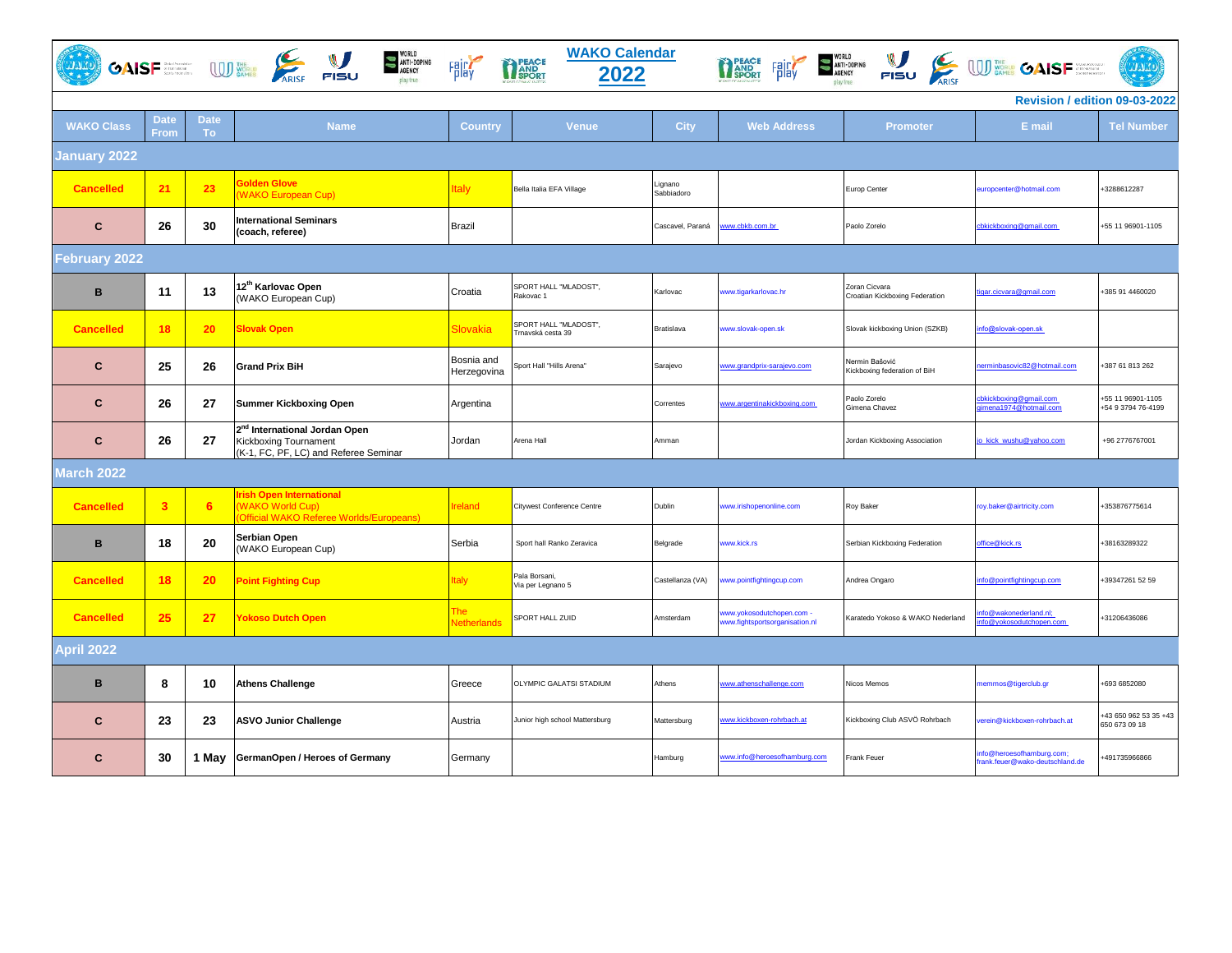| <b>WAKO Calendar</b><br>WORLD<br>ANTI-DOPING<br>AGENCY<br>GAISF STRAIGHT TISU<br>THE PEACE FRICT SANT-DOPING NULL CONSERVE ON SPORT PIBU<br><b>AAA</b><br><b>THEACE</b><br>Fair<br>2022<br>play true |                         |                          |                                                                                                                    |                           |                                            |                       |                                                           |                                                 |                                                             |                                        |
|------------------------------------------------------------------------------------------------------------------------------------------------------------------------------------------------------|-------------------------|--------------------------|--------------------------------------------------------------------------------------------------------------------|---------------------------|--------------------------------------------|-----------------------|-----------------------------------------------------------|-------------------------------------------------|-------------------------------------------------------------|----------------------------------------|
| Revision / edition 09-03-2022                                                                                                                                                                        |                         |                          |                                                                                                                    |                           |                                            |                       |                                                           |                                                 |                                                             |                                        |
| <b>WAKO Class</b>                                                                                                                                                                                    | <b>Date</b><br>From     | <b>Date</b><br><b>To</b> | <b>Name</b>                                                                                                        | <b>Country</b>            | Venue                                      | <b>City</b>           | <b>Web Address</b>                                        | <b>Promoter</b>                                 | E mail                                                      | <b>Tel Number</b>                      |
| <b>January 2022</b>                                                                                                                                                                                  |                         |                          |                                                                                                                    |                           |                                            |                       |                                                           |                                                 |                                                             |                                        |
| <b>Cancelled</b>                                                                                                                                                                                     | 21                      | 23                       | <b>Solden Glove</b><br><b>WAKO European Cup)</b>                                                                   | <b>Italy</b>              | Bella Italia EFA Village                   | Lignano<br>Sabbiadoro |                                                           | Europ Center                                    | europcenter@hotmail.com                                     | 3288612287                             |
| C                                                                                                                                                                                                    | 26                      | 30                       | <b>International Seminars</b><br>(coach, referee)                                                                  | <b>Brazil</b>             |                                            | Cascavel, Paraná      | ww.cbkb.com.br                                            | Paolo Zorelo                                    | cbkickboxing@gmail.com                                      | +55 11 96901-1105                      |
| February 2022                                                                                                                                                                                        |                         |                          |                                                                                                                    |                           |                                            |                       |                                                           |                                                 |                                                             |                                        |
| B                                                                                                                                                                                                    | 11                      | 13                       | 12 <sup>th</sup> Karlovac Open<br>(WAKO European Cup)                                                              | Croatia                   | SPORT HALL "MLADOST",<br>Rakovac 1         | Karlovac              | ww.tigarkarlovac.hr                                       | Zoran Cicvara<br>Croatian Kickboxing Federation | igar.cicvara@gmail.com                                      | +385 91 4460020                        |
| <b>Cancelled</b>                                                                                                                                                                                     | 18                      | 20                       | <b>Slovak Open</b>                                                                                                 | Slovakia                  | SPORT HALL "MLADOST",<br>Trnavská cesta 39 | Bratislava            | ww.slovak-open.sk                                         | Slovak kickboxing Union (SZKB)                  | nfo@slovak-open.sk                                          |                                        |
| C                                                                                                                                                                                                    | 25                      | 26                       | <b>Grand Prix BiH</b>                                                                                              | Bosnia and<br>Herzegovina | Sport Hall "Hills Arena"                   | Sarajevo              | ww.grandprix-sarajevo.com                                 | Nermin Bašović<br>Kickboxing federation of BiH  | erminbasovic82@hotmail.com                                  | 387 61 813 262                         |
| $\mathbf{C}$                                                                                                                                                                                         | 26                      | 27                       | <b>Summer Kickboxing Open</b>                                                                                      | Argentina                 |                                            | Correntes             | ww.argentinakickboxing.com                                | Paolo Zorelo<br>Gimena Chavez                   | cbkickboxing@gmail.com<br>gimena1974@hotmail.com            | 55 11 96901-1105<br>+54 9 3794 76-4199 |
| $\mathbf{C}$                                                                                                                                                                                         | 26                      | 27                       | 2 <sup>nd</sup> International Jordan Open<br><b>Kickboxing Tournament</b><br>(K-1, FC, PF, LC) and Referee Seminar | Jordan                    | Arena Hall                                 | Amman                 |                                                           | Jordan Kickboxing Association                   | o_kick_wushu@yahoo.com                                      | +96 2776767001                         |
| March 2022                                                                                                                                                                                           |                         |                          |                                                                                                                    |                           |                                            |                       |                                                           |                                                 |                                                             |                                        |
| <b>Cancelled</b>                                                                                                                                                                                     | $\overline{\mathbf{3}}$ | 6                        | rish Open International<br><b>WAKO World Cup)</b><br>Official WAKO Referee Worlds/Europeans)                       | <b>Ireland</b>            | Citywest Conference Centre                 | Dublin                | ww.irishopenonline.com                                    | Roy Baker                                       | roy.baker@airtricity.com                                    | +353876775614                          |
| B                                                                                                                                                                                                    | 18                      | 20                       | Serbian Open<br>(WAKO European Cup)                                                                                | Serbia                    | Sport hall Ranko Zeravica                  | Belgrade              | ww.kick.rs                                                | Serbian Kickboxing Federation                   | ffice@kick.rs                                               | 38163289322                            |
| <b>Cancelled</b>                                                                                                                                                                                     | 18                      | 20                       | <b>Point Fighting Cup</b>                                                                                          | <b>Italy</b>              | Pala Borsani,<br>Via per Legnano 5         | Castellanza (VA)      | ww.pointfightingcup.com                                   | Andrea Ongaro                                   | fo@pointfightingcup.com                                     | +39347261 52 59                        |
| <b>Cancelled</b>                                                                                                                                                                                     | 25                      | 27                       | <b>Yokoso Dutch Open</b>                                                                                           | The<br><b>Netherlands</b> | SPORT HALL ZUID                            | Amsterdam             | ww.yokosodutchopen.com -<br>ww.fightsportsorganisation.nl | Karatedo Yokoso & WAKO Nederland                | nfo@wakonederland.nl;<br>fo@yokosodutchopen.com             | +31206436086                           |
| <b>April 2022</b>                                                                                                                                                                                    |                         |                          |                                                                                                                    |                           |                                            |                       |                                                           |                                                 |                                                             |                                        |
| B                                                                                                                                                                                                    | 8                       | 10                       | <b>Athens Challenge</b>                                                                                            | Greece                    | OLYMPIC GALATSI STADIUM                    | Athens                | ww.athenschallenge.com                                    | Nicos Memos                                     | nemmos@tigerclub.gr                                         | 693 6852080                            |
| C                                                                                                                                                                                                    | 23                      | 23                       | <b>ASVO Junior Challenge</b>                                                                                       | Austria                   | Junior high school Mattersburg             | Mattersburg           | ww.kickboxen-rohrbach.at                                  | Kickboxing Club ASVÖ Rohrbach                   | erein@kickboxen-rohrbach.at                                 | 43 650 962 53 35 +43<br>650 673 09 18  |
| C                                                                                                                                                                                                    | 30                      | 1 May                    | GermanOpen / Heroes of Germany                                                                                     | Germany                   |                                            | Hamburg               | www.info@heroesofhamburg.com                              | Frank Feuer                                     | nfo@heroesofhamburg.com;<br>frank.feuer@wako-deutschland.de | 491735966866                           |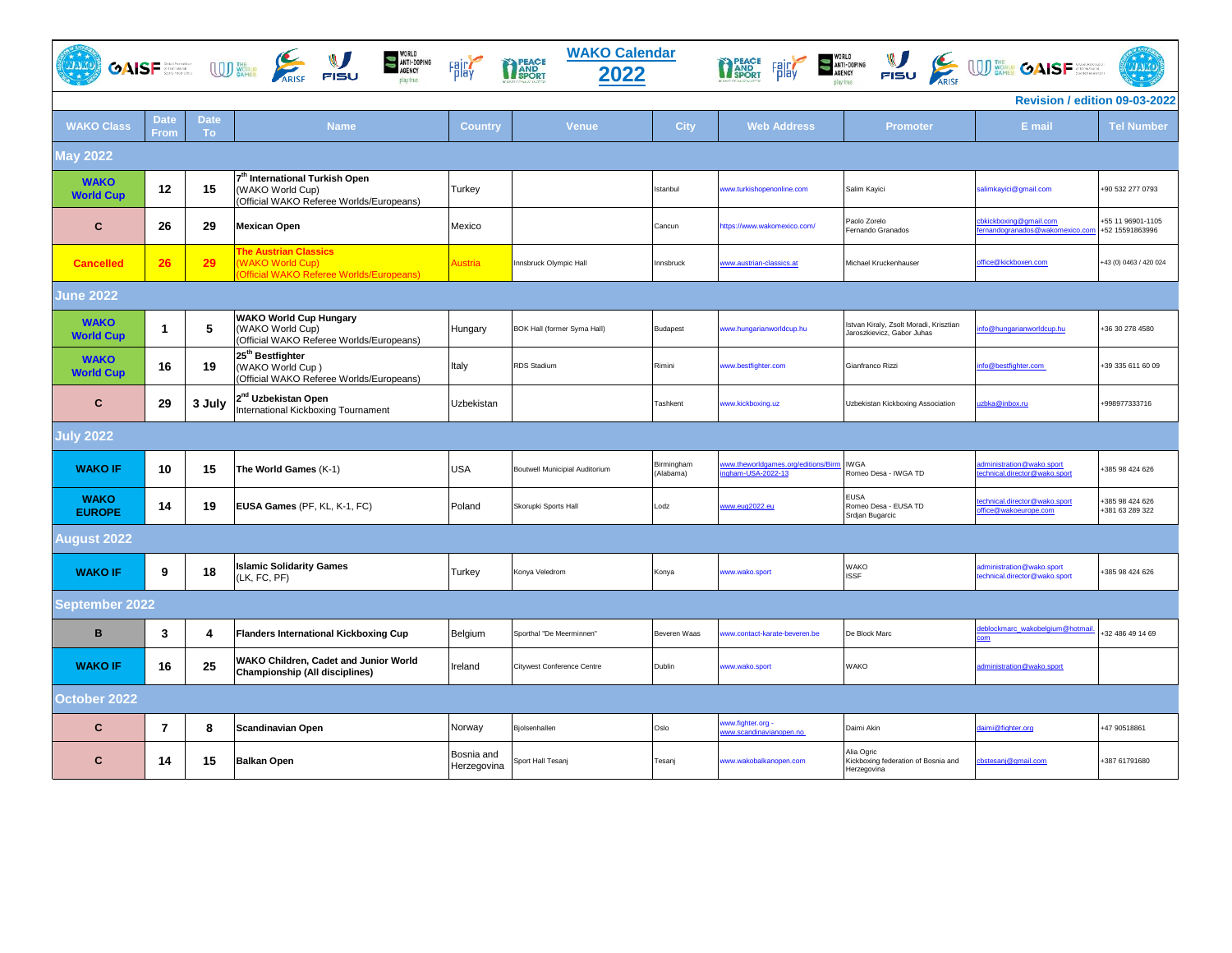|                                 |                     |                   | WORLD<br>ANTI-DOPING<br>AGENCY<br>$\overbrace{\text{OAlSF}}^{\text{max}}$ $\overbrace{\text{MSE}}^{\text{max}}$ $\overbrace{\text{ARSE}}^{\text{max}}$ $\overbrace{\text{FISU}}^{\text{max}}$<br>play true. | Fair                      | <b>WAKO Calendar</b><br>PEACE<br>PAND<br>SPORT<br>2022 |                         | PEACE<br>AND<br>SPORT<br>Fair                          | $\sum_{\text{AIEK} \atop \text{AIEK} \text{AIEK} \atop \text{PISU}} \underbrace{\bigcup_{\text{AIEK}} \bigcup_{\text{AIEK} \atop \text{AIEK} \text{AIEK} \bigcup \text{BIEK} \bigcup \text{BIEK}}$ |                                                           | <b>TATE</b>                          |
|---------------------------------|---------------------|-------------------|-------------------------------------------------------------------------------------------------------------------------------------------------------------------------------------------------------------|---------------------------|--------------------------------------------------------|-------------------------|--------------------------------------------------------|----------------------------------------------------------------------------------------------------------------------------------------------------------------------------------------------------|-----------------------------------------------------------|--------------------------------------|
|                                 |                     |                   |                                                                                                                                                                                                             |                           |                                                        |                         |                                                        |                                                                                                                                                                                                    | Revision / edition 09-03-2022                             |                                      |
| <b>WAKO Class</b>               | <b>Date</b><br>From | <b>Date</b><br>То | <b>Name</b>                                                                                                                                                                                                 | <b>Country</b>            | <b>Venue</b>                                           | <b>City</b>             | <b>Web Address</b>                                     | <b>Promoter</b>                                                                                                                                                                                    | E mail                                                    | <b>Tel Number</b>                    |
| <b>May 2022</b>                 |                     |                   |                                                                                                                                                                                                             |                           |                                                        |                         |                                                        |                                                                                                                                                                                                    |                                                           |                                      |
| <b>WAKO</b><br><b>World Cup</b> | 12                  | 15                | 7 <sup>th</sup> International Turkish Open<br>(WAKO World Cup)<br>(Official WAKO Referee Worlds/Europeans)                                                                                                  | Turkey                    |                                                        | Istanbul                | ww.turkishopenonline.com                               | Salim Kayici                                                                                                                                                                                       | salimkayici@gmail.com                                     | +90 532 277 0793                     |
| $\mathbf{C}$                    | 26                  | 29                | <b>Mexican Open</b>                                                                                                                                                                                         | Mexico                    |                                                        | Cancun                  | ttps://www.wakomexico.com/                             | Paolo Zorelo<br>Fernando Granados                                                                                                                                                                  | bkickboxing@gmail.com<br>ernandogranados@wakomexico.com   | +55 11 96901-1105<br>+52 15591863996 |
| <b>Cancelled</b>                | 26                  | 29                | <b>The Austrian Classics</b><br><b>WAKO World Cup)</b><br><b>Official WAKO Referee Worlds/Europeans)</b>                                                                                                    | Austria                   | nnsbruck Olympic Hall                                  | Innsbruck               | ww.austrian-classics.at                                | Michael Kruckenhauser                                                                                                                                                                              | office@kickboxen.com                                      | +43 (0) 0463 / 420 024               |
| <b>June 2022</b>                |                     |                   |                                                                                                                                                                                                             |                           |                                                        |                         |                                                        |                                                                                                                                                                                                    |                                                           |                                      |
| <b>WAKO</b><br><b>World Cup</b> | $\mathbf 1$         | 5                 | <b>WAKO World Cup Hungary</b><br>(WAKO World Cup)<br>(Official WAKO Referee Worlds/Europeans)                                                                                                               | Hungary                   | BOK Hall (former Syma Hall)                            | Budapest                | www.hungarianworldcup.hu                               | Istvan Kiraly, Zsolt Moradi, Krisztian<br>Jaroszkievicz, Gabor Juhas                                                                                                                               | nfo@hungarianworldcup.hu                                  | +36 30 278 4580                      |
| <b>WAKO</b><br><b>World Cup</b> | 16                  | 19                | 25 <sup>th</sup> Bestfighter<br>(WAKO World Cup)<br>(Official WAKO Referee Worlds/Europeans)                                                                                                                | Italy                     | <b>RDS Stadium</b>                                     | Rimini                  | ww.bestfighter.com                                     | Gianfranco Rizzi                                                                                                                                                                                   | nfo@bestfighter.com                                       | +39 335 611 60 09                    |
| $\mathbf c$                     | 29                  | 3 July            | 2 <sup>nd</sup> Uzbekistan Open<br>International Kickboxing Tournament                                                                                                                                      | Uzbekistan                |                                                        | Tashkent                | www.kickboxing.uz                                      | Uzbekistan Kickboxing Association                                                                                                                                                                  | zbka@inbox.ru                                             | +998977333716                        |
| <b>July 2022</b>                |                     |                   |                                                                                                                                                                                                             |                           |                                                        |                         |                                                        |                                                                                                                                                                                                    |                                                           |                                      |
| <b>WAKO IF</b>                  | 10                  | 15                | The World Games (K-1)                                                                                                                                                                                       | <b>USA</b>                | Boutwell Municipial Auditorium                         | Birmingham<br>(Alabama) | ww.theworldgames.org/editions/Birm<br>gham-USA-2022-13 | <b>IWGA</b><br>Romeo Desa - IWGA TD                                                                                                                                                                | dministration@wako.sport<br>echnical.director@wako.sport  | 385 98 424 626                       |
| <b>WAKO</b><br><b>EUROPE</b>    | 14                  | 19                | EUSA Games (PF, KL, K-1, FC)                                                                                                                                                                                | Poland                    | Skorupki Sports Hall                                   | Lodz                    | www.eug2022.eu                                         | <b>EUSA</b><br>Romeo Desa - EUSA TD<br>Srdjan Bugarcic                                                                                                                                             | echnical.director@wako.sport<br>ffice@wakoeurope.com      | 385 98 424 626<br>+381 63 289 322    |
| <b>August 2022</b>              |                     |                   |                                                                                                                                                                                                             |                           |                                                        |                         |                                                        |                                                                                                                                                                                                    |                                                           |                                      |
| <b>WAKO IF</b>                  | 9                   | 18                | <b>Islamic Solidarity Games</b><br>(LK, FC, PF)                                                                                                                                                             | Turkey                    | Konya Veledrom                                         | Konya                   | www.wako.sport                                         | <b>WAKO</b><br><b>ISSF</b>                                                                                                                                                                         | administration@wako.sport<br>echnical.director@wako.sport | +385 98 424 626                      |
| ieptemb <u>er 2022.</u>         |                     |                   |                                                                                                                                                                                                             |                           |                                                        |                         |                                                        |                                                                                                                                                                                                    |                                                           |                                      |
| B                               | 3                   | 4                 | <b>Flanders International Kickboxing Cup</b>                                                                                                                                                                | Belgium                   | Sporthal "De Meerminnen"                               | Beveren Waas            | ww.contact-karate-beveren.be                           | De Block Marc                                                                                                                                                                                      | eblockmarc_wakobelgium@hotmai                             | 32 486 49 14 69                      |
| <b>WAKO IF</b>                  | 16                  | 25                | WAKO Children, Cadet and Junior World<br>Championship (All disciplines)                                                                                                                                     | Ireland                   | <b>Citywest Conference Centre</b>                      | Dublin                  | ww.wako.sport                                          | <b>WAKO</b>                                                                                                                                                                                        | administration@wako.sport                                 |                                      |
| October 2022                    |                     |                   |                                                                                                                                                                                                             |                           |                                                        |                         |                                                        |                                                                                                                                                                                                    |                                                           |                                      |
| $\mathbf c$                     | 7                   | 8                 | <b>Scandinavian Open</b>                                                                                                                                                                                    | Norway                    | Bjolsenhallen                                          | Oslo                    | ww.fighter.org -<br>ww.scandinavianopen.no             | Daimi Akin                                                                                                                                                                                         | aimi@fighter.org                                          | +47 90518861                         |
| C                               | 14                  | 15                | <b>Balkan Open</b>                                                                                                                                                                                          | Bosnia and<br>Herzegovina | Sport Hall Tesanj                                      | Tesanj                  | www.wakobalkanopen.com                                 | Alia Ogric<br>Kickboxing federation of Bosnia and<br>Herzegovina                                                                                                                                   | chstesanj@gmail.com                                       | +387 61791680                        |